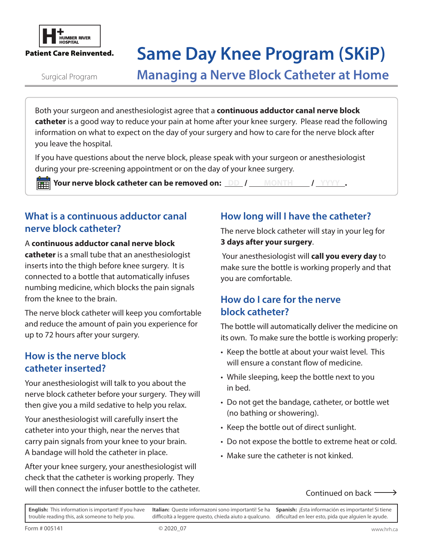

# **FREAD READ ROPER RIVER AND READ TO SAME OF SAME DAY Knee Program (SKiP)**

Surgical Program

**Managing a Nerve Block Catheter at Home**

Both your surgeon and anesthesiologist agree that a **continuous adductor canal nerve block catheter** is a good way to reduce your pain at home after your knee surgery. Please read the following information on what to expect on the day of your surgery and how to care for the nerve block after you leave the hospital.

If you have questions about the nerve block, please speak with your surgeon or anesthesiologist during your pre-screening appointment or on the day of your knee surgery.

**FHEED Your nerve block catheter can be removed on:** DD / MONTH / YYYY .

#### **What is a continuous adductor canal nerve block catheter?**

#### A **continuous adductor canal nerve block**

**catheter** is a small tube that an anesthesiologist inserts into the thigh before knee surgery. It is connected to a bottle that automatically infuses numbing medicine, which blocks the pain signals from the knee to the brain.

The nerve block catheter will keep you comfortable and reduce the amount of pain you experience for up to 72 hours after your surgery.

#### **How is the nerve block catheter inserted?**

Your anesthesiologist will talk to you about the nerve block catheter before your surgery. They will then give you a mild sedative to help you relax.

Your anesthesiologist will carefully insert the catheter into your thigh, near the nerves that carry pain signals from your knee to your brain. A bandage will hold the catheter in place.

After your knee surgery, your anesthesiologist will check that the catheter is working properly. They will then connect the infuser bottle to the catheter.

#### **How long will I have the catheter?**

The nerve block catheter will stay in your leg for **3 days after your surgery**.

 Your anesthesiologist will **call you every day** to make sure the bottle is working properly and that you are comfortable.

#### **How do I care for the nerve block catheter?**

The bottle will automatically deliver the medicine on its own. To make sure the bottle is working properly:

- Keep the bottle at about your waist level. This will ensure a constant flow of medicine.
- While sleeping, keep the bottle next to you in bed.
- Do not get the bandage, catheter, or bottle wet (no bathing or showering).
- Keep the bottle out of direct sunlight.
- Do not expose the bottle to extreme heat or cold.
- Make sure the catheter is not kinked.
	- Continued on back

**English:** This information is important! If you have trouble reading this, ask someone to help you. **Italian:** Queste informazoni sono importanti! Se ha difficoltà a leggere questo, chieda aiuto a qualcuno. **Spanish:** ¡Esta información es importante! Si tiene dificultad en leer esto, pida que alguien le ayude.